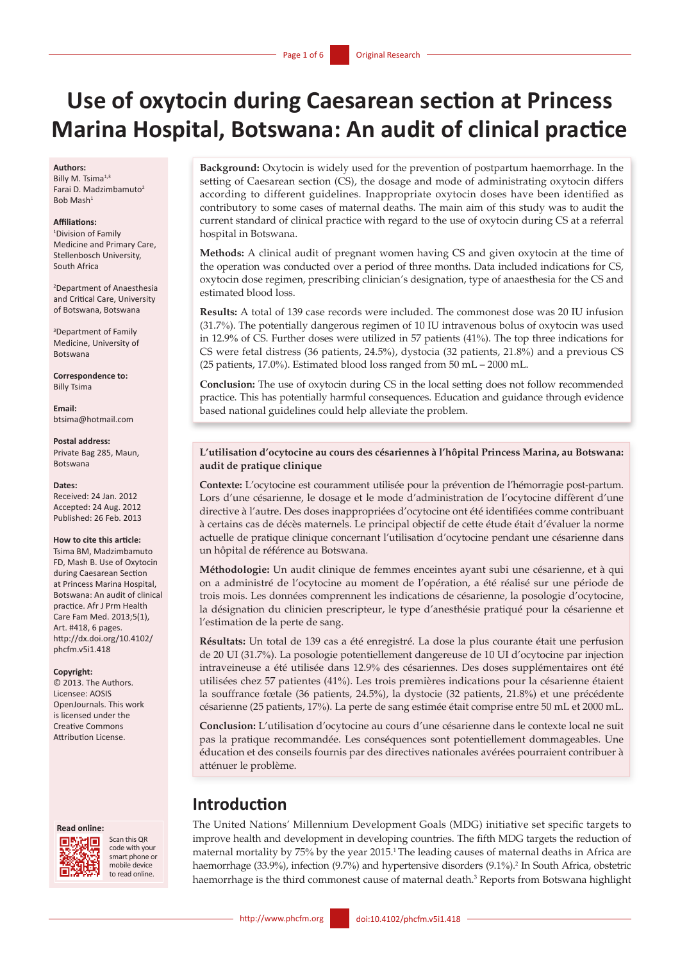# **Use of oxytocin during Caesarean section at Princess Marina Hospital, Botswana: An audit of clinical practice**

#### **Authors:**

Billy M. Tsima<sup>1,3</sup> Farai D. Madzimbamuto<sup>2</sup> Bob Mash1

#### **Affiliations:**

1 Division of Family Medicine and Primary Care, Stellenbosch University, South Africa

2 Department of Anaesthesia and Critical Care, University of Botswana, Botswana

3 Department of Family Medicine, University of Botswana

**Correspondence to:** Billy Tsima

**Email:**  btsima@hotmail.com

**Postal address:**  Private Bag 285, Maun, Botswana

#### **Dates:**

Received: 24 Jan. 2012 Accepted: 24 Aug. 2012 Published: 26 Feb. 2013

#### **How to cite this article:**

Tsima BM, Madzimbamuto FD, Mash B. Use of Oxytocin during Caesarean Section at Princess Marina Hospital Botswana: An audit of clinical practice. Afr J Prm Health Care Fam Med. 2013;5(1), Art. #418, 6 pages. http://dx.doi.org/10.4102/ phcfm.v5i1.418

#### **Copyright:**

© 2013. The Authors. Licensee: AOSIS OpenJournals. This work is licensed under the Creative Commons Attribution License.





Scan this QR code with your smart phone or mobile device to read online.

**Background:** Oxytocin is widely used for the prevention of postpartum haemorrhage. In the setting of Caesarean section (CS), the dosage and mode of administrating oxytocin differs according to different guidelines. Inappropriate oxytocin doses have been identified as contributory to some cases of maternal deaths. The main aim of this study was to audit the current standard of clinical practice with regard to the use of oxytocin during CS at a referral hospital in Botswana.

**Methods:** A clinical audit of pregnant women having CS and given oxytocin at the time of the operation was conducted over a period of three months. Data included indications for CS, oxytocin dose regimen, prescribing clinician's designation, type of anaesthesia for the CS and estimated blood loss.

**Results:** A total of 139 case records were included. The commonest dose was 20 IU infusion (31.7%). The potentially dangerous regimen of 10 IU intravenous bolus of oxytocin was used in 12.9% of CS. Further doses were utilized in 57 patients (41%). The top three indications for CS were fetal distress (36 patients, 24.5%), dystocia (32 patients, 21.8%) and a previous CS (25 patients, 17.0%). Estimated blood loss ranged from 50 mL – 2000 mL.

**Conclusion:** The use of oxytocin during CS in the local setting does not follow recommended practice. This has potentially harmful consequences. Education and guidance through evidence based national guidelines could help alleviate the problem.

#### **L'utilisation d'ocytocine au cours des césariennes à l'hôpital Princess Marina, au Botswana: audit de pratique clinique**

**Contexte:** L'ocytocine est couramment utilisée pour la prévention de l'hémorragie post-partum. Lors d'une césarienne, le dosage et le mode d'administration de l'ocytocine diffèrent d'une directive à l'autre. Des doses inappropriées d'ocytocine ont été identifiées comme contribuant à certains cas de décès maternels. Le principal objectif de cette étude était d'évaluer la norme actuelle de pratique clinique concernant l'utilisation d'ocytocine pendant une césarienne dans un hôpital de référence au Botswana.

**Méthodologie:** Un audit clinique de femmes enceintes ayant subi une césarienne, et à qui on a administré de l'ocytocine au moment de l'opération, a été réalisé sur une période de trois mois. Les données comprennent les indications de césarienne, la posologie d'ocytocine, la désignation du clinicien prescripteur, le type d'anesthésie pratiqué pour la césarienne et l'estimation de la perte de sang.

**Résultats:** Un total de 139 cas a été enregistré. La dose la plus courante était une perfusion de 20 UI (31.7%). La posologie potentiellement dangereuse de 10 UI d'ocytocine par injection intraveineuse a été utilisée dans 12.9% des césariennes. Des doses supplémentaires ont été utilisées chez 57 patientes (41%). Les trois premières indications pour la césarienne étaient la souffrance fœtale (36 patients, 24.5%), la dystocie (32 patients, 21.8%) et une précédente césarienne (25 patients, 17%). La perte de sang estimée était comprise entre 50 mL et 2000 mL.

**Conclusion:** L'utilisation d'ocytocine au cours d'une césarienne dans le contexte local ne suit pas la pratique recommandée. Les conséquences sont potentiellement dommageables. Une éducation et des conseils fournis par des directives nationales avérées pourraient contribuer à atténuer le problème.

# **Introduction**

The United Nations' Millennium Development Goals (MDG) initiative set specific targets to improve health and development in developing countries. The fifth MDG targets the reduction of maternal mortality by 75% by the year 2015.<sup>1</sup> The leading causes of maternal deaths in Africa are haemorrhage (33.9%), infection (9.7%) and hypertensive disorders (9.1%).2 In South Africa, obstetric haemorrhage is the third commonest cause of maternal death.<sup>3</sup> Reports from Botswana highlight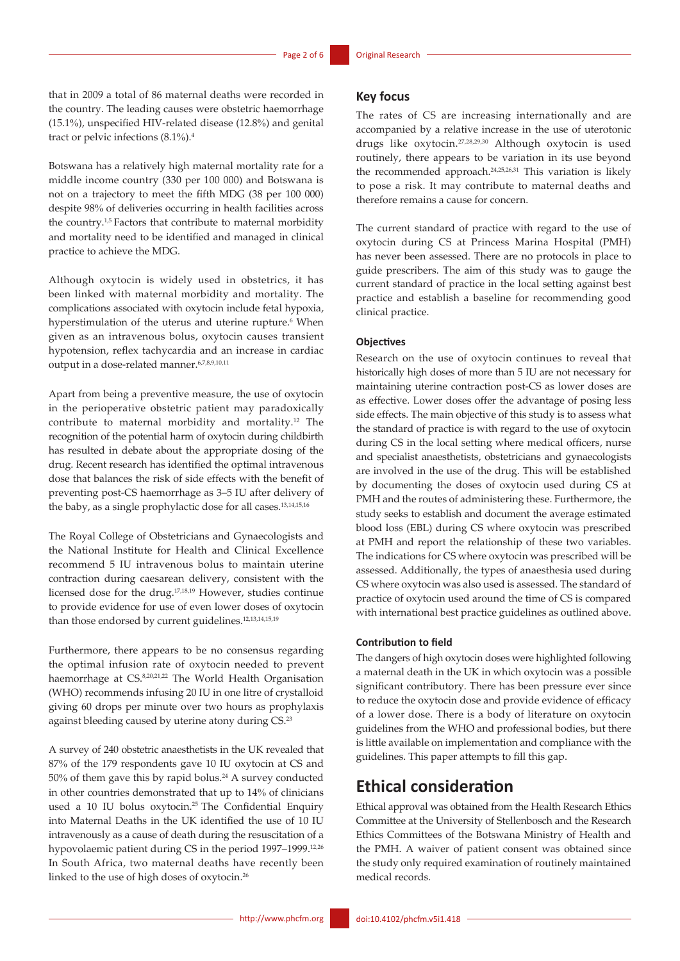that in 2009 a total of 86 maternal deaths were recorded in the country. The leading causes were obstetric haemorrhage (15.1%), unspecified HIV-related disease (12.8%) and genital tract or pelvic infections (8.1%).4

Botswana has a relatively high maternal mortality rate for a middle income country (330 per 100 000) and Botswana is not on a trajectory to meet the fifth MDG (38 per 100 000) despite 98% of deliveries occurring in health facilities across the country.1,5 Factors that contribute to maternal morbidity and mortality need to be identified and managed in clinical practice to achieve the MDG.

Although oxytocin is widely used in obstetrics, it has been linked with maternal morbidity and mortality. The complications associated with oxytocin include fetal hypoxia, hyperstimulation of the uterus and uterine rupture.<sup>6</sup> When given as an intravenous bolus, oxytocin causes transient hypotension, reflex tachycardia and an increase in cardiac output in a dose-related manner.<sup>6,7,8,9,10,11</sup>

Apart from being a preventive measure, the use of oxytocin in the perioperative obstetric patient may paradoxically contribute to maternal morbidity and mortality.12 The recognition of the potential harm of oxytocin during childbirth has resulted in debate about the appropriate dosing of the drug. Recent research has identified the optimal intravenous dose that balances the risk of side effects with the benefit of preventing post-CS haemorrhage as 3–5 IU after delivery of the baby, as a single prophylactic dose for all cases.13,14,15,16

The Royal College of Obstetricians and Gynaecologists and the National Institute for Health and Clinical Excellence recommend 5 IU intravenous bolus to maintain uterine contraction during caesarean delivery, consistent with the licensed dose for the drug.17,18,19 However, studies continue to provide evidence for use of even lower doses of oxytocin than those endorsed by current guidelines.<sup>12,13,14,15,19</sup>

Furthermore, there appears to be no consensus regarding the optimal infusion rate of oxytocin needed to prevent haemorrhage at CS.8,20,21,22 The World Health Organisation (WHO) recommends infusing 20 IU in one litre of crystalloid giving 60 drops per minute over two hours as prophylaxis against bleeding caused by uterine atony during CS.23

A survey of 240 obstetric anaesthetists in the UK revealed that 87% of the 179 respondents gave 10 IU oxytocin at CS and  $50\%$  of them gave this by rapid bolus.<sup>24</sup> A survey conducted in other countries demonstrated that up to 14% of clinicians used a 10 IU bolus oxytocin.<sup>25</sup> The Confidential Enquiry into Maternal Deaths in the UK identified the use of 10 IU intravenously as a cause of death during the resuscitation of a hypovolaemic patient during CS in the period 1997-1999.<sup>12,26</sup> In South Africa, two maternal deaths have recently been linked to the use of high doses of oxytocin.26

#### **Key focus**

The rates of CS are increasing internationally and are accompanied by a relative increase in the use of uterotonic drugs like oxytocin.27,28,29,30 Although oxytocin is used routinely, there appears to be variation in its use beyond the recommended approach.24,25,26,31 This variation is likely to pose a risk. It may contribute to maternal deaths and therefore remains a cause for concern.

The current standard of practice with regard to the use of oxytocin during CS at Princess Marina Hospital (PMH) has never been assessed. There are no protocols in place to guide prescribers. The aim of this study was to gauge the current standard of practice in the local setting against best practice and establish a baseline for recommending good clinical practice.

#### **Objectives**

Research on the use of oxytocin continues to reveal that historically high doses of more than 5 IU are not necessary for maintaining uterine contraction post-CS as lower doses are as effective. Lower doses offer the advantage of posing less side effects. The main objective of this study is to assess what the standard of practice is with regard to the use of oxytocin during CS in the local setting where medical officers, nurse and specialist anaesthetists, obstetricians and gynaecologists are involved in the use of the drug. This will be established by documenting the doses of oxytocin used during CS at PMH and the routes of administering these. Furthermore, the study seeks to establish and document the average estimated blood loss (EBL) during CS where oxytocin was prescribed at PMH and report the relationship of these two variables. The indications for CS where oxytocin was prescribed will be assessed. Additionally, the types of anaesthesia used during CS where oxytocin was also used is assessed. The standard of practice of oxytocin used around the time of CS is compared with international best practice guidelines as outlined above.

#### **Contribution to field**

The dangers of high oxytocin doses were highlighted following a maternal death in the UK in which oxytocin was a possible significant contributory. There has been pressure ever since to reduce the oxytocin dose and provide evidence of efficacy of a lower dose. There is a body of literature on oxytocin guidelines from the WHO and professional bodies, but there is little available on implementation and compliance with the guidelines. This paper attempts to fill this gap.

## **Ethical consideration**

Ethical approval was obtained from the Health Research Ethics Committee at the University of Stellenbosch and the Research Ethics Committees of the Botswana Ministry of Health and the PMH. A waiver of patient consent was obtained since the study only required examination of routinely maintained medical records.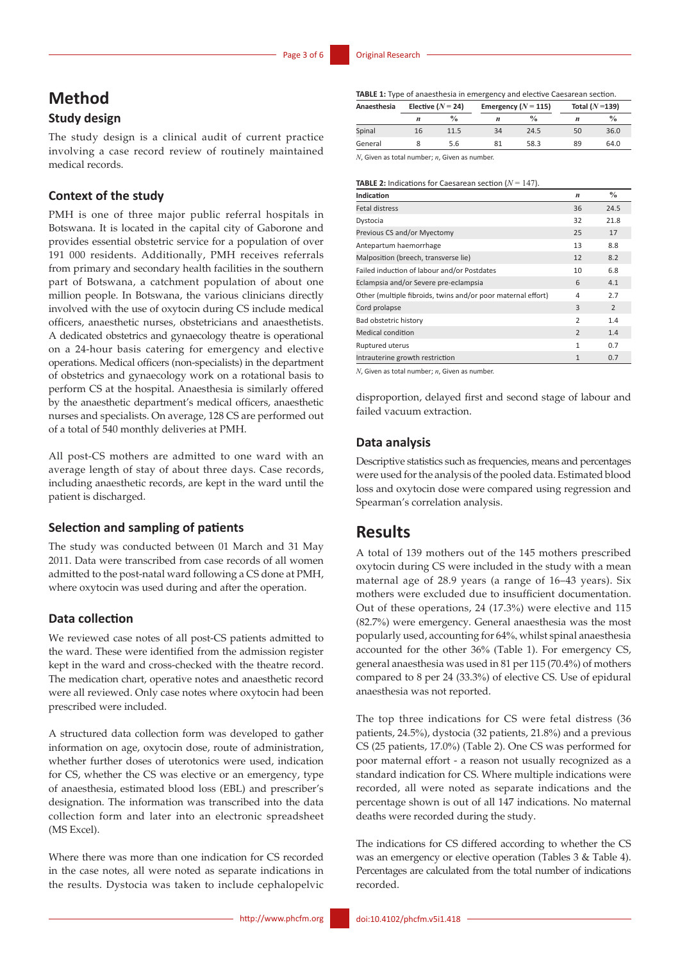# **Method**

# **Study design**

The study design is a clinical audit of current practice involving a case record review of routinely maintained medical records.

## **Context of the study**

PMH is one of three major public referral hospitals in Botswana. It is located in the capital city of Gaborone and provides essential obstetric service for a population of over 191 000 residents. Additionally, PMH receives referrals from primary and secondary health facilities in the southern part of Botswana, a catchment population of about one million people. In Botswana, the various clinicians directly involved with the use of oxytocin during CS include medical officers, anaesthetic nurses, obstetricians and anaesthetists. A dedicated obstetrics and gynaecology theatre is operational on a 24-hour basis catering for emergency and elective operations. Medical officers (non-specialists) in the department of obstetrics and gynaecology work on a rotational basis to perform CS at the hospital. Anaesthesia is similarly offered by the anaesthetic department's medical officers, anaesthetic nurses and specialists. On average, 128 CS are performed out of a total of 540 monthly deliveries at PMH.

All post-CS mothers are admitted to one ward with an average length of stay of about three days. Case records, including anaesthetic records, are kept in the ward until the patient is discharged.

#### **Selection and sampling of patients**

The study was conducted between 01 March and 31 May 2011. Data were transcribed from case records of all women admitted to the post-natal ward following a CS done at PMH, where oxytocin was used during and after the operation.

### **Data collection**

We reviewed case notes of all post-CS patients admitted to the ward. These were identified from the admission register kept in the ward and cross-checked with the theatre record. The medication chart, operative notes and anaesthetic record were all reviewed. Only case notes where oxytocin had been prescribed were included.

A structured data collection form was developed to gather information on age, oxytocin dose, route of administration, whether further doses of uterotonics were used, indication for CS, whether the CS was elective or an emergency, type of anaesthesia, estimated blood loss (EBL) and prescriber's designation. The information was transcribed into the data collection form and later into an electronic spreadsheet (MS Excel).

Where there was more than one indication for CS recorded in the case notes, all were noted as separate indications in the results. Dystocia was taken to include cephalopelvic

**TABLE 1:** Type of anaesthesia in emergency and elective Caesarean section.

| Anaesthesia                                              | Elective ( $N = 24$ ) |               | Emergency ( $N = 115$ ) |               | Total $(N=139)$ |               |
|----------------------------------------------------------|-----------------------|---------------|-------------------------|---------------|-----------------|---------------|
|                                                          | n                     | $\frac{0}{0}$ | $\boldsymbol{n}$        | $\frac{0}{0}$ | n               | $\frac{0}{0}$ |
| Spinal                                                   | 16                    | 11.5          | 34                      | 24.5          | 50              | 36.0          |
| General                                                  |                       | 5.6           | 81                      | 58.3          | 89              | 64.0          |
| $M$ Chicago as tatal sumplements. Chicago as sumplements |                       |               |                         |               |                 |               |

*N*, Given as total number; *n*, Given as number

#### **TABLE 2:** Indications for Caesarean section (*N* = 147).

| Indication                                                   | $\boldsymbol{n}$ | $\frac{0}{0}$ |
|--------------------------------------------------------------|------------------|---------------|
| <b>Fetal distress</b>                                        | 36               | 24.5          |
| Dystocia                                                     | 32               | 21.8          |
| Previous CS and/or Myectomy                                  | 25               | 17            |
| Antepartum haemorrhage                                       | 13               | 8.8           |
| Malposition (breech, transverse lie)                         | 12               | 8.2           |
| Failed induction of labour and/or Postdates                  | 10               | 6.8           |
| Eclampsia and/or Severe pre-eclampsia                        | 6                | 4.1           |
| Other (multiple fibroids, twins and/or poor maternal effort) | 4                | 2.7           |
| Cord prolapse                                                | 3                | 2             |
| Bad obstetric history                                        | $\overline{2}$   | 1.4           |
| <b>Medical condition</b>                                     | $\overline{2}$   | 1.4           |
| Ruptured uterus                                              | 1                | 0.7           |
| Intrauterine growth restriction                              | $\mathbf{1}$     | 0.7           |

*N*, Given as total number; *n*, Given as number.

disproportion, delayed first and second stage of labour and failed vacuum extraction.

## **Data analysis**

Descriptive statistics such as frequencies, means and percentages were used for the analysis of the pooled data. Estimated blood loss and oxytocin dose were compared using regression and Spearman's correlation analysis.

## **Results**

A total of 139 mothers out of the 145 mothers prescribed oxytocin during CS were included in the study with a mean maternal age of 28.9 years (a range of 16–43 years). Six mothers were excluded due to insufficient documentation. Out of these operations, 24 (17.3%) were elective and 115 (82.7%) were emergency. General anaesthesia was the most popularly used, accounting for 64%, whilst spinal anaesthesia accounted for the other 36% (Table 1). For emergency CS, general anaesthesia was used in 81 per 115 (70.4%) of mothers compared to 8 per 24 (33.3%) of elective CS. Use of epidural anaesthesia was not reported.

The top three indications for CS were fetal distress (36 patients, 24.5%), dystocia (32 patients, 21.8%) and a previous CS (25 patients, 17.0%) (Table 2). One CS was performed for poor maternal effort - a reason not usually recognized as a standard indication for CS. Where multiple indications were recorded, all were noted as separate indications and the percentage shown is out of all 147 indications. No maternal deaths were recorded during the study.

The indications for CS differed according to whether the CS was an emergency or elective operation (Tables 3 & Table 4). Percentages are calculated from the total number of indications recorded.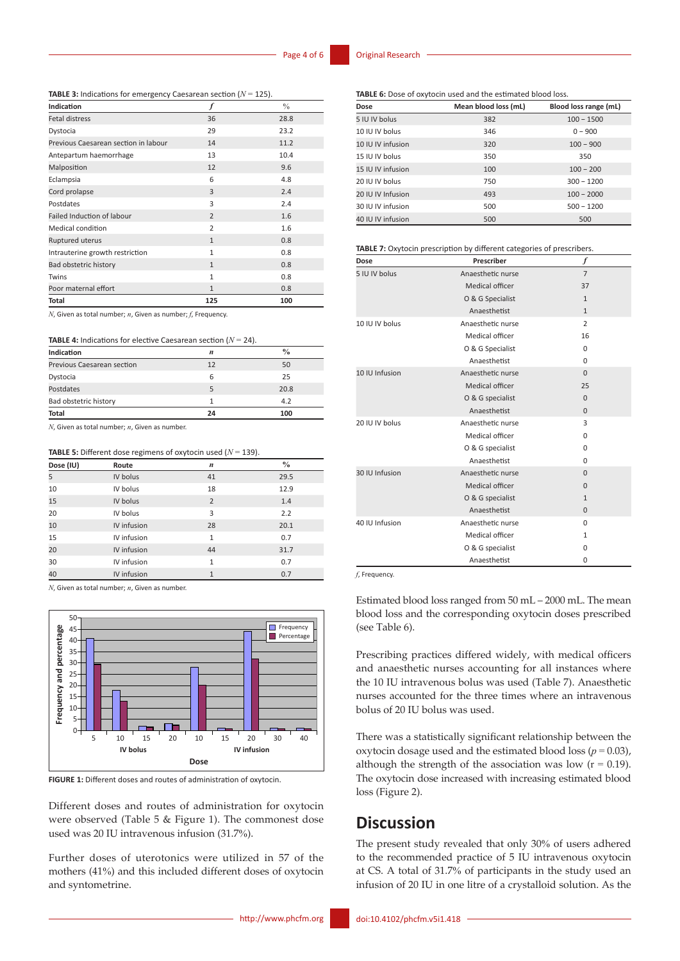**TABLE 3:** Indications for emergency Caesarean section (*N* = 125).

| Indication                           |                | $\frac{0}{0}$ |
|--------------------------------------|----------------|---------------|
| <b>Fetal distress</b>                | 36             | 28.8          |
| Dystocia                             | 29             | 23.2          |
| Previous Caesarean section in labour | 14             | 11.2          |
| Antepartum haemorrhage               | 13             | 10.4          |
| Malposition                          | 12             | 9.6           |
| Eclampsia                            | 6              | 4.8           |
| Cord prolapse                        | 3              | 2.4           |
| Postdates                            | 3              | 2.4           |
| <b>Failed Induction of labour</b>    | $\overline{2}$ | 1.6           |
| Medical condition                    | $\overline{2}$ | 1.6           |
| Ruptured uterus                      | $\mathbf{1}$   | 0.8           |
| Intrauterine growth restriction      | $\mathbf{1}$   | 0.8           |
| Bad obstetric history                | $\mathbf{1}$   | 0.8           |
| Twins                                | $\mathbf{1}$   | 0.8           |
| Poor maternal effort                 | $\mathbf{1}$   | 0.8           |
| <b>Total</b>                         | 125            | 100           |

*N*, Given as total number; *n*, Given as number; *f*, Frequency.

| <b>TABLE 4:</b> Indications for elective Caesarean section ( $N = 24$ ). |  |
|--------------------------------------------------------------------------|--|
|--------------------------------------------------------------------------|--|

| Indication                 | n  | $\frac{0}{0}$ |
|----------------------------|----|---------------|
| Previous Caesarean section | 12 | 50            |
| Dystocia                   | 6  | 25            |
| Postdates                  | 5  | 20.8          |
| Bad obstetric history      |    | 4.2           |
| <b>Total</b>               | 24 | 100           |

*N*, Given as total number; *n*, Given as number.

#### **TABLE 5:** Different dose regimens of oxytocin used (*N* = 139).

| Dose (IU) | Route       | $\boldsymbol{n}$ | $\frac{0}{0}$ |
|-----------|-------------|------------------|---------------|
| 5         | IV bolus    | 41               | 29.5          |
| 10        | IV bolus    | 18               | 12.9          |
| 15        | IV bolus    | $\overline{2}$   | 1.4           |
| 20        | IV bolus    | 3                | 2.2           |
| 10        | IV infusion | 28               | 20.1          |
| 15        | IV infusion | $\mathbf{1}$     | 0.7           |
| 20        | IV infusion | 44               | 31.7          |
| 30        | IV infusion | $\mathbf{1}$     | 0.7           |
| 40        | IV infusion | $\mathbf{1}$     | 0.7           |

*N*, Given as total number; *n*, Given as number.



Different doses and routes of administration for oxytocin were observed (Table 5 & Figure 1). The commonest dose used was 20 IU intravenous infusion (31.7%).

Further doses of uterotonics were utilized in 57 of the mothers (41%) and this included different doses of oxytocin and syntometrine.

**TABLE 6:** Dose of oxytocin used and the estimated blood loss.

| Dose              | Mean blood loss (mL) | Blood loss range (mL) |
|-------------------|----------------------|-----------------------|
| 5 IU IV bolus     | 382                  | $100 - 1500$          |
| 10 IU IV bolus    | 346                  | $0 - 900$             |
| 10 IU IV infusion | 320                  | $100 - 900$           |
| 15 IU IV bolus    | 350                  | 350                   |
| 15 IU IV infusion | 100                  | $100 - 200$           |
| 20 IU IV bolus    | 750                  | $300 - 1200$          |
| 20 IU IV Infusion | 493                  | $100 - 2000$          |
| 30 IU IV infusion | 500                  | $500 - 1200$          |
| 40 IU IV infusion | 500                  | 500                   |

**TABLE 7:** Oxytocin prescription by different categories of prescribers.

| Dose           | Prescriber        | f              |
|----------------|-------------------|----------------|
| 5 IU IV bolus  | Anaesthetic nurse | $\overline{7}$ |
|                | Medical officer   | 37             |
|                | O & G Specialist  | $\mathbf{1}$   |
|                | Anaesthetist      | $\mathbf{1}$   |
| 10 IU IV bolus | Anaesthetic nurse | 2              |
|                | Medical officer   | 16             |
|                | O & G Specialist  | 0              |
|                | Anaesthetist      | $\Omega$       |
| 10 IU Infusion | Anaesthetic nurse | $\Omega$       |
|                | Medical officer   | 25             |
|                | O & G specialist  | $\Omega$       |
|                | Anaesthetist      | $\mathbf{0}$   |
| 20 IU IV bolus | Anaesthetic nurse | 3              |
|                | Medical officer   | $\Omega$       |
|                | O & G specialist  | 0              |
|                | Anaesthetist      | $\Omega$       |
| 30 IU Infusion | Anaesthetic nurse | $\Omega$       |
|                | Medical officer   | $\Omega$       |
|                | O & G specialist  | $\mathbf{1}$   |
|                | Anaesthetist      | $\mathbf{0}$   |
| 40 IU Infusion | Anaesthetic nurse | 0              |
|                | Medical officer   | 1              |
|                | O & G specialist  | 0              |
|                | Anaesthetist      | 0              |

*f*, Frequency.

Estimated blood loss ranged from 50 mL – 2000 mL. The mean blood loss and the corresponding oxytocin doses prescribed (see Table 6).

Prescribing practices differed widely, with medical officers and anaesthetic nurses accounting for all instances where the 10 IU intravenous bolus was used (Table 7). Anaesthetic nurses accounted for the three times where an intravenous bolus of 20 IU bolus was used.

There was a statistically significant relationship between the oxytocin dosage used and the estimated blood loss ( $p = 0.03$ ), although the strength of the association was low  $(r = 0.19)$ . The oxytocin dose increased with increasing estimated blood loss (Figure 2).

# **Discussion**

The present study revealed that only 30% of users adhered to the recommended practice of 5 IU intravenous oxytocin at CS. A total of 31.7% of participants in the study used an infusion of 20 IU in one litre of a crystalloid solution. As the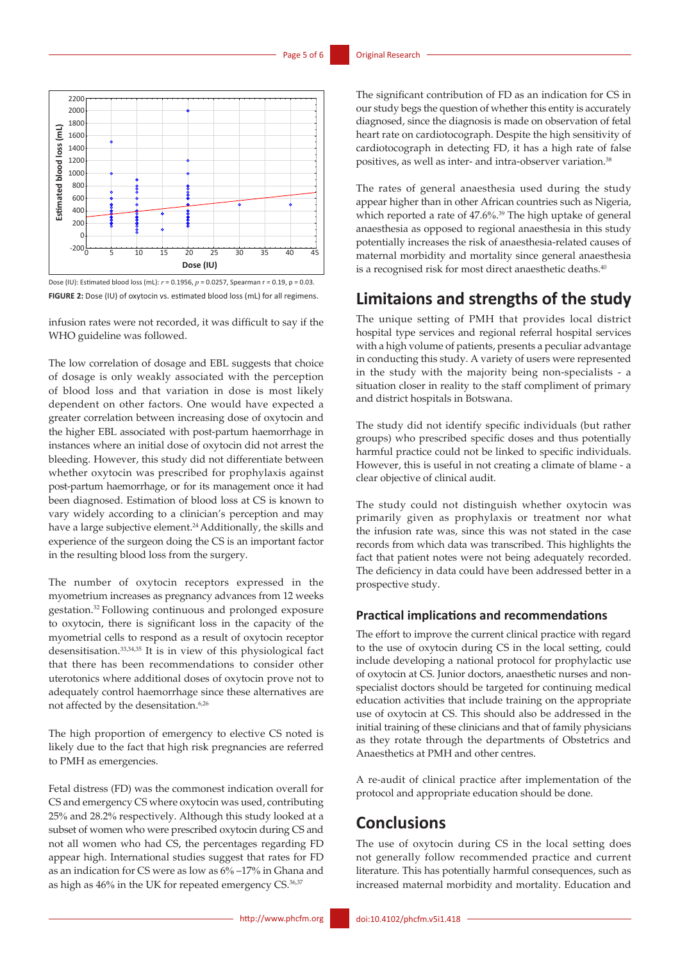

Dose (IU): Estimated blood loss (mL): *r* = 0.1956, *p* = 0.0257, Spearman r = 0.19, p = 0.03. **FIGURE 2:** Dose (IU) of oxytocin vs. estimated blood loss (mL) for all regimens.

infusion rates were not recorded, it was difficult to say if the WHO guideline was followed.

The low correlation of dosage and EBL suggests that choice of dosage is only weakly associated with the perception of blood loss and that variation in dose is most likely dependent on other factors. One would have expected a greater correlation between increasing dose of oxytocin and the higher EBL associated with post-partum haemorrhage in instances where an initial dose of oxytocin did not arrest the bleeding. However, this study did not differentiate between whether oxytocin was prescribed for prophylaxis against post-partum haemorrhage, or for its management once it had been diagnosed. Estimation of blood loss at CS is known to vary widely according to a clinician's perception and may have a large subjective element.<sup>24</sup> Additionally, the skills and experience of the surgeon doing the CS is an important factor in the resulting blood loss from the surgery.

The number of oxytocin receptors expressed in the myometrium increases as pregnancy advances from 12 weeks gestation.32 Following continuous and prolonged exposure to oxytocin, there is significant loss in the capacity of the myometrial cells to respond as a result of oxytocin receptor desensitisation.33,34,35 It is in view of this physiological fact that there has been recommendations to consider other uterotonics where additional doses of oxytocin prove not to adequately control haemorrhage since these alternatives are not affected by the desensitation.<sup>6,26</sup>

The high proportion of emergency to elective CS noted is likely due to the fact that high risk pregnancies are referred to PMH as emergencies.

Fetal distress (FD) was the commonest indication overall for CS and emergency CS where oxytocin was used, contributing 25% and 28.2% respectively. Although this study looked at a subset of women who were prescribed oxytocin during CS and not all women who had CS, the percentages regarding FD appear high. International studies suggest that rates for FD as an indication for CS were as low as 6% –17% in Ghana and as high as 46% in the UK for repeated emergency CS.<sup>36,37</sup>

The significant contribution of FD as an indication for CS in our study begs the question of whether this entity is accurately diagnosed, since the diagnosis is made on observation of fetal heart rate on cardiotocograph. Despite the high sensitivity of cardiotocograph in detecting FD, it has a high rate of false positives, as well as inter- and intra-observer variation.<sup>38</sup>

The rates of general anaesthesia used during the study appear higher than in other African countries such as Nigeria, which reported a rate of 47.6%. 39 The high uptake of general anaesthesia as opposed to regional anaesthesia in this study potentially increases the risk of anaesthesia-related causes of maternal morbidity and mortality since general anaesthesia is a recognised risk for most direct anaesthetic deaths.<sup>40</sup>

# **Limitaions and strengths of the study**

The unique setting of PMH that provides local district hospital type services and regional referral hospital services with a high volume of patients, presents a peculiar advantage in conducting this study. A variety of users were represented in the study with the majority being non-specialists - a situation closer in reality to the staff compliment of primary and district hospitals in Botswana.

The study did not identify specific individuals (but rather groups) who prescribed specific doses and thus potentially harmful practice could not be linked to specific individuals. However, this is useful in not creating a climate of blame - a clear objective of clinical audit.

The study could not distinguish whether oxytocin was primarily given as prophylaxis or treatment nor what the infusion rate was, since this was not stated in the case records from which data was transcribed. This highlights the fact that patient notes were not being adequately recorded. The deficiency in data could have been addressed better in a prospective study.

### **Practical implications and recommendations**

The effort to improve the current clinical practice with regard to the use of oxytocin during CS in the local setting, could include developing a national protocol for prophylactic use of oxytocin at CS. Junior doctors, anaesthetic nurses and nonspecialist doctors should be targeted for continuing medical education activities that include training on the appropriate use of oxytocin at CS. This should also be addressed in the initial training of these clinicians and that of family physicians as they rotate through the departments of Obstetrics and Anaesthetics at PMH and other centres.

A re-audit of clinical practice after implementation of the protocol and appropriate education should be done.

## **Conclusions**

The use of oxytocin during CS in the local setting does not generally follow recommended practice and current literature. This has potentially harmful consequences, such as increased maternal morbidity and mortality. Education and